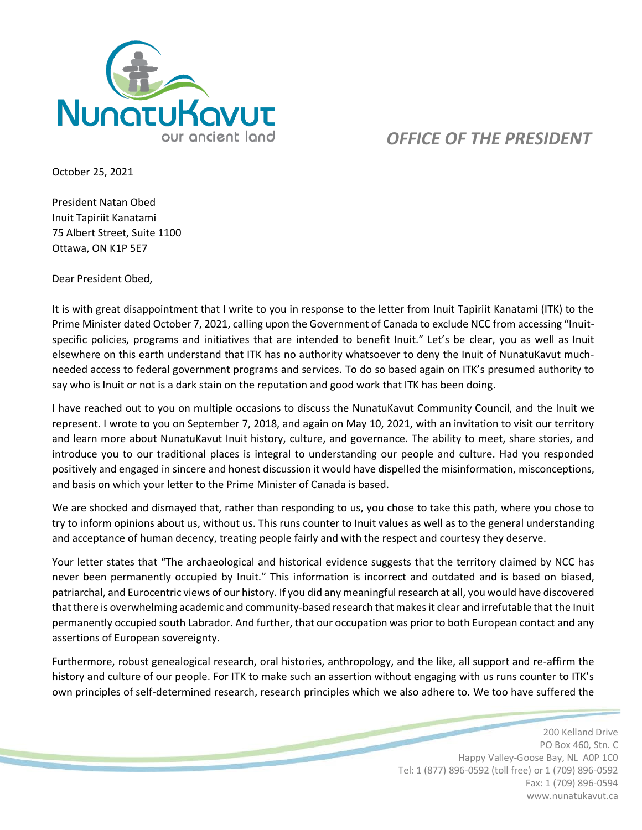

## *OFFICE OF THE PRESIDENT*

October 25, 2021

President Natan Obed Inuit Tapiriit Kanatami 75 Albert Street, Suite 1100 Ottawa, ON K1P 5E7

Dear President Obed,

It is with great disappointment that I write to you in response to the letter from Inuit Tapiriit Kanatami (ITK) to the Prime Minister dated October 7, 2021, calling upon the Government of Canada to exclude NCC from accessing "Inuitspecific policies, programs and initiatives that are intended to benefit Inuit." Let's be clear, you as well as Inuit elsewhere on this earth understand that ITK has no authority whatsoever to deny the Inuit of NunatuKavut muchneeded access to federal government programs and services. To do so based again on ITK's presumed authority to say who is Inuit or not is a dark stain on the reputation and good work that ITK has been doing.

I have reached out to you on multiple occasions to discuss the NunatuKavut Community Council, and the Inuit we represent. I wrote to you on September 7, 2018, and again on May 10, 2021, with an invitation to visit our territory and learn more about NunatuKavut Inuit history, culture, and governance. The ability to meet, share stories, and introduce you to our traditional places is integral to understanding our people and culture. Had you responded positively and engaged in sincere and honest discussion it would have dispelled the misinformation, misconceptions, and basis on which your letter to the Prime Minister of Canada is based.

We are shocked and dismayed that, rather than responding to us, you chose to take this path, where you chose to try to inform opinions about us, without us. This runs counter to Inuit values as well as to the general understanding and acceptance of human decency, treating people fairly and with the respect and courtesy they deserve.

Your letter states that "The archaeological and historical evidence suggests that the territory claimed by NCC has never been permanently occupied by Inuit." This information is incorrect and outdated and is based on biased, patriarchal, and Eurocentric views of our history. If you did any meaningful research at all, you would have discovered that there is overwhelming academic and community-based research that makes it clear and irrefutable that the Inuit permanently occupied south Labrador. And further, that our occupation was prior to both European contact and any assertions of European sovereignty.

Furthermore, robust genealogical research, oral histories, anthropology, and the like, all support and re-affirm the history and culture of our people. For ITK to make such an assertion without engaging with us runs counter to ITK's own principles of self-determined research, research principles which we also adhere to. We too have suffered the

> 200 Kelland Drive PO Box 460, Stn. C Happy Valley-Goose Bay, NL A0P 1C0 Tel: 1 (877) 896-0592 (toll free) or 1 (709) 896-0592 Fax: 1 (709) 896-0594 www.nunatukavut.ca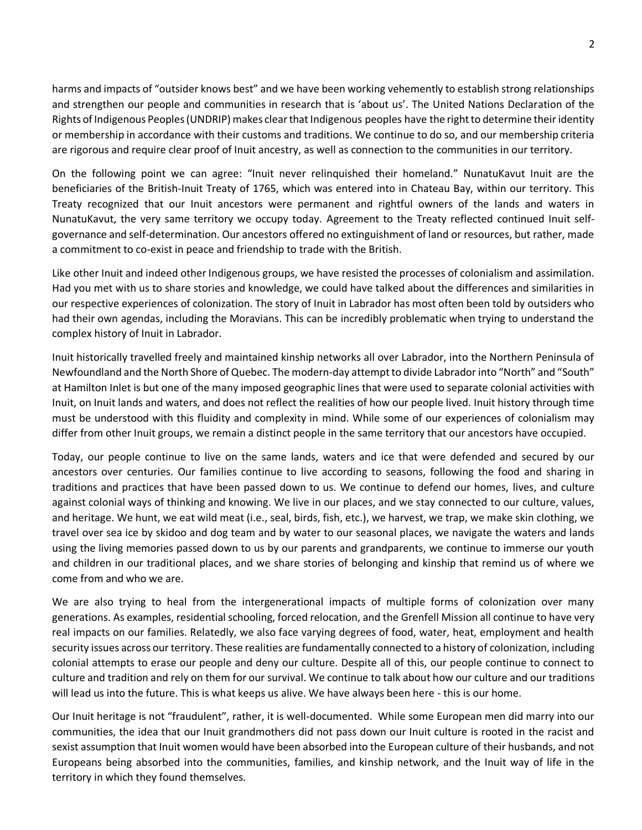harms and impacts of "outsider knows best" and we have been working vehemently to establish strong relationships and strengthen our people and communities in research that is 'about us'. The United Nations Declaration of the Rights of Indigenous Peoples (UNDRIP) makes clear that Indigenous peoples have the right to determine their identity or membership in accordance with their customs and traditions. We continue to do so, and our membership criteria are rigorous and require clear proof of Inuit ancestry, as well as connection to the communities in our territory.

On the following point we can agree: "Inuit never relinquished their homeland." NunatuKavut Inuit are the beneficiaries of the British-Inuit Treaty of 1765, which was entered into in Chateau Bay, within our territory. This Treaty recognized that our Inuit ancestors were permanent and rightful owners of the lands and waters in NunatuKavut, the very same territory we occupy today. Agreement to the Treaty reflected continued Inuit selfgovernance and self-determination. Our ancestors offered no extinguishment of land or resources, but rather, made a commitment to co-exist in peace and friendship to trade with the British.

Like other Inuit and indeed other Indigenous groups, we have resisted the processes of colonialism and assimilation. Had you met with us to share stories and knowledge, we could have talked about the differences and similarities in our respective experiences of colonization. The story of Inuit in Labrador has most often been told by outsiders who had their own agendas, including the Moravians. This can be incredibly problematic when trying to understand the complex history of Inuit in Labrador.

Inuit historically travelled freely and maintained kinship networks all over Labrador, into the Northern Peninsula of Newfoundland and the North Shore of Quebec. The modern-day attempt to divide Labrador into "North" and "South" at Hamilton Inlet is but one of the many imposed geographic lines that were used to separate colonial activities with Inuit, on Inuit lands and waters, and does not reflect the realities of how our people lived. Inuit history through time must be understood with this fluidity and complexity in mind. While some of our experiences of colonialism may differ from other Inuit groups, we remain a distinct people in the same territory that our ancestors have occupied.

Today, our people continue to live on the same lands, waters and ice that were defended and secured by our ancestors over centuries. Our families continue to live according to seasons, following the food and sharing in traditions and practices that have been passed down to us. We continue to defend our homes, lives, and culture against colonial ways of thinking and knowing. We live in our places, and we stay connected to our culture, values, and heritage. We hunt, we eat wild meat (i.e., seal, birds, fish, etc.), we harvest, we trap, we make skin clothing, we travel over sea ice by skidoo and dog team and by water to our seasonal places, we navigate the waters and lands using the living memories passed down to us by our parents and grandparents, we continue to immerse our youth and children in our traditional places, and we share stories of belonging and kinship that remind us of where we come from and who we are.

We are also trying to heal from the intergenerational impacts of multiple forms of colonization over many generations. As examples, residential schooling, forced relocation, and the Grenfell Mission all continue to have very real impacts on our families. Relatedly, we also face varying degrees of food, water, heat, employment and health security issues across our territory. These realities are fundamentally connected to a history of colonization, including colonial attempts to erase our people and deny our culture. Despite all of this, our people continue to connect to culture and tradition and rely on them for our survival. We continue to talk about how our culture and our traditions will lead us into the future. This is what keeps us alive. We have always been here - this is our home.

Our Inuit heritage is not "fraudulent", rather, it is well-documented. While some European men did marry into our communities, the idea that our Inuit grandmothers did not pass down our Inuit culture is rooted in the racist and sexist assumption that Inuit women would have been absorbed into the European culture of their husbands, and not Europeans being absorbed into the communities, families, and kinship network, and the Inuit way of life in the territory in which they found themselves.